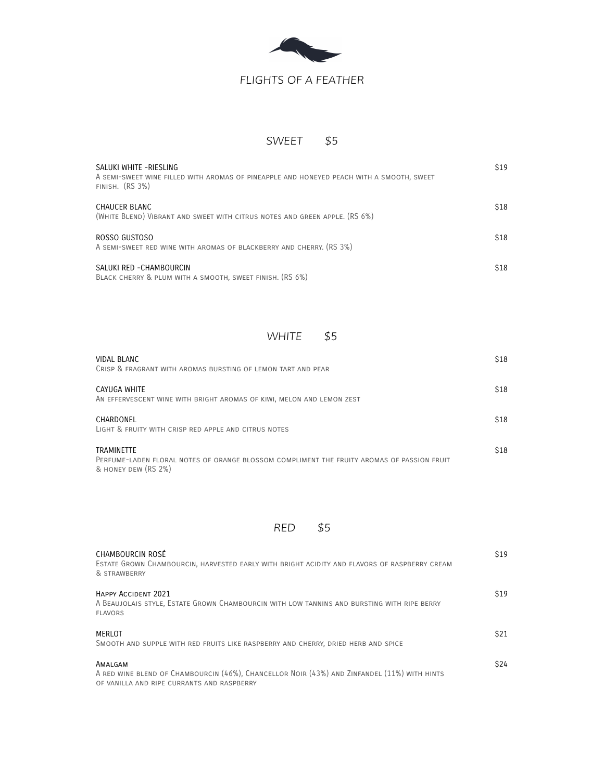

# *FLIGHTS OF A FEATHER*

### *SWEET \$5*

| SALUKI WHITE -RIESLING<br>A SEMI-SWEET WINE FILLED WITH AROMAS OF PINEAPPLE AND HONEYED PEACH WITH A SMOOTH, SWEET<br>FINISH. $(RS3%)$ | \$19 |
|----------------------------------------------------------------------------------------------------------------------------------------|------|
| CHAUCER BLANC<br>(WHITE BLEND) VIBRANT AND SWEET WITH CITRUS NOTES AND GREEN APPLE. (RS 6%)                                            | \$18 |
| ROSSO GUSTOSO<br>A SEMI-SWEET RED WINE WITH AROMAS OF BLACKBERRY AND CHERRY. (RS 3%)                                                   | \$18 |
| SALUKI RED - CHAMBOURCIN<br>BLACK CHERRY & PLUM WITH A SMOOTH, SWEET FINISH. (RS 6%)                                                   | \$18 |

#### *WHITE \$5*

| VIDAL BLANC<br>CRISP & FRAGRANT WITH AROMAS BURSTING OF LEMON TART AND PEAR                                                            | \$18 |
|----------------------------------------------------------------------------------------------------------------------------------------|------|
| CAYUGA WHITE<br>AN EFFERVESCENT WINE WITH BRIGHT AROMAS OF KIWI, MELON AND LEMON ZEST                                                  | \$18 |
| CHARDONEL<br>LIGHT & FRUITY WITH CRISP RED APPLE AND CITRUS NOTES                                                                      | \$18 |
| <b>TRAMINFTTF</b><br>PERFUME-LADEN FLORAL NOTES OF ORANGE BLOSSOM COMPLIMENT THE FRUITY AROMAS OF PASSION FRUIT<br>& HONEY DEW (RS 2%) | \$18 |



| CHAMBOURCIN ROSÉ<br>ESTATE GROWN CHAMBOURCIN, HARVESTED EARLY WITH BRIGHT ACIDITY AND FLAVORS OF RASPBERRY CREAM<br>& STRAWBERRY                     | \$19        |
|------------------------------------------------------------------------------------------------------------------------------------------------------|-------------|
| HAPPY ACCIDENT 2021<br>A BEAUJOLAIS STYLE, ESTATE GROWN CHAMBOURCIN WITH LOW TANNINS AND BURSTING WITH RIPE BERRY<br><b>FLAVORS</b>                  | \$19        |
| MERLOT<br>SMOOTH AND SUPPLE WITH RED FRUITS LIKE RASPBERRY AND CHERRY, DRIED HERB AND SPICE                                                          | \$21        |
| AMALGAM<br>A RED WINE BLEND OF CHAMBOURCIN (46%), CHANCELLOR NOIR (43%) AND ZINFANDEL (11%) WITH HINTS<br>OF VANILLA AND RIPE CURRANTS AND RASPBERRY | <b>\$24</b> |